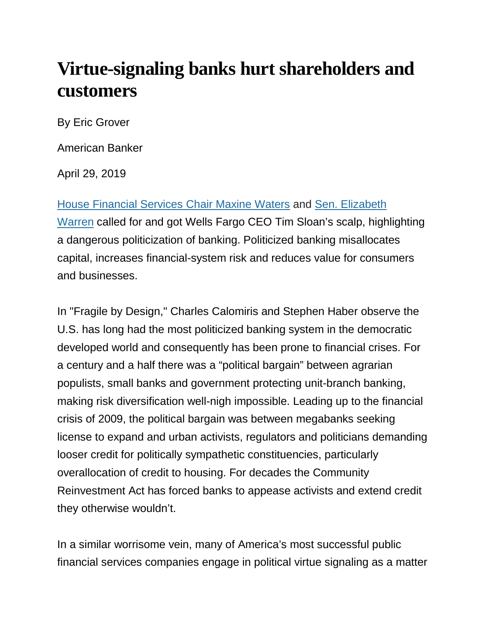## **Virtue-signaling banks hurt shareholders and customers**

By Eric Grover

American Banker

April 29, 2019

[House Financial Services Chair Maxine Waters](https://www.cnbc.com/2019/03/14/waters-calls-wells-fargo-ceos-bonus-outrageous-calls-for-his-removal.html) and [Sen. Elizabeth](https://www.youtube.com/watch?v=AyVr4qcn8EM)  [Warren](https://www.youtube.com/watch?v=AyVr4qcn8EM) called for and got Wells Fargo CEO Tim Sloan's scalp, highlighting a dangerous politicization of banking. Politicized banking misallocates capital, increases financial-system risk and reduces value for consumers and businesses.

In "Fragile by Design," Charles Calomiris and Stephen Haber observe the U.S. has long had the most politicized banking system in the democratic developed world and consequently has been prone to financial crises. For a century and a half there was a "political bargain" between agrarian populists, small banks and government protecting unit-branch banking, making risk diversification well-nigh impossible. Leading up to the financial crisis of 2009, the political bargain was between megabanks seeking license to expand and urban activists, regulators and politicians demanding looser credit for politically sympathetic constituencies, particularly overallocation of credit to housing. For decades the Community Reinvestment Act has forced banks to appease activists and extend credit they otherwise wouldn't.

In a similar worrisome vein, many of America's most successful public financial services companies engage in political virtue signaling as a matter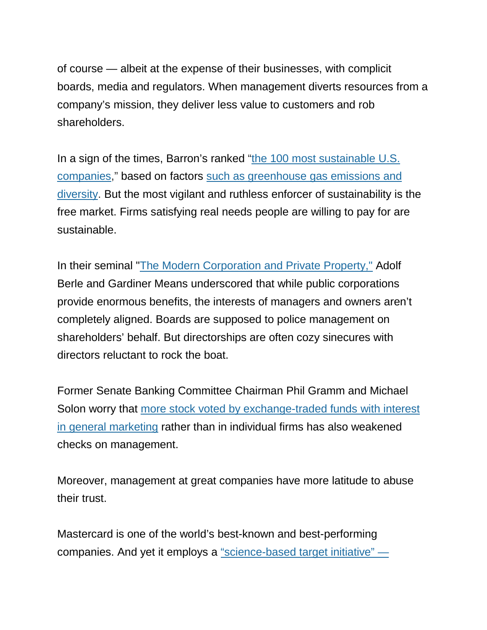of course — albeit at the expense of their businesses, with complicit boards, media and regulators. When management diverts resources from a company's mission, they deliver less value to customers and rob shareholders.

In a sign of the times, Barron's ranked ["the 100 most sustainable U.S.](https://www.barrons.com/articles/these-stocks-are-winning-as-ceos-push-for-a-sustainable-future-51549657527)  [companies,](https://www.barrons.com/articles/these-stocks-are-winning-as-ceos-push-for-a-sustainable-future-51549657527)" based on factors [such as greenhouse gas emissions and](https://www.barrons.com/articles/sustainable-companies-methods-behind-the-rankings-51549656584?mod=article_inline)  [diversity.](https://www.barrons.com/articles/sustainable-companies-methods-behind-the-rankings-51549656584?mod=article_inline) But the most vigilant and ruthless enforcer of sustainability is the free market. Firms satisfying real needs people are willing to pay for are sustainable.

In their seminal ["The Modern Corporation and Private Property,"](https://www.amazon.com/Modern-Corporation-Private-Property/dp/0887388876) Adolf Berle and Gardiner Means underscored that while public corporations provide enormous benefits, the interests of managers and owners aren't completely aligned. Boards are supposed to police management on shareholders' behalf. But directorships are often cozy sinecures with directors reluctant to rock the boat.

Former Senate Banking Committee Chairman Phil Gramm and Michael Solon worry that [more stock voted by exchange-traded funds with interest](https://www.wsj.com/articles/enemies-of-the-economic-enlightenment-11555366746?mod=searchresults&page=1&pos=1)  [in general marketing](https://www.wsj.com/articles/enemies-of-the-economic-enlightenment-11555366746?mod=searchresults&page=1&pos=1) rather than in individual firms has also weakened checks on management.

Moreover, management at great companies have more latitude to abuse their trust.

Mastercard is one of the world's best-known and best-performing companies. And yet it employs a ["science-based target initiative" —](https://newsroom.mastercard.com/press-releases/mastercard-is-first-payments-player-to-receive-approval-for-science-based-emissions-target/)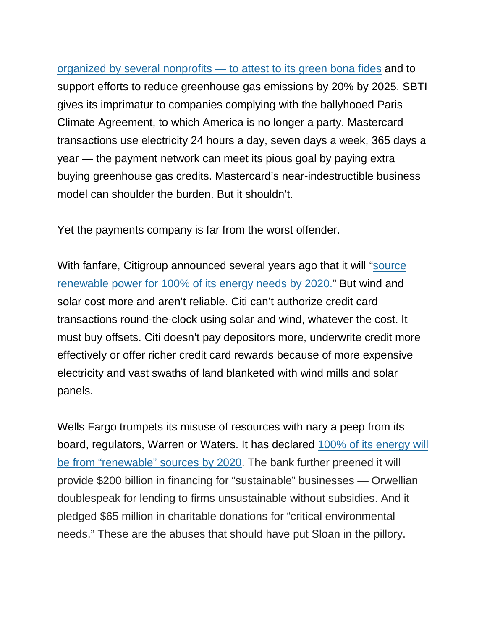[organized by several nonprofits —](https://newsroom.mastercard.com/press-releases/mastercard-is-first-payments-player-to-receive-approval-for-science-based-emissions-target/) to attest to its green bona fides and to support efforts to reduce greenhouse gas emissions by 20% by 2025. SBTI gives its imprimatur to companies complying with the ballyhooed Paris Climate Agreement, to which America is no longer a party. Mastercard transactions use electricity 24 hours a day, seven days a week, 365 days a year — the payment network can meet its pious goal by paying extra buying greenhouse gas credits. Mastercard's near-indestructible business model can shoulder the burden. But it shouldn't.

Yet the payments company is far from the worst offender.

With fanfare, Citigroup announced several years ago that it will "source" [renewable power for 100% of its energy needs by 2020."](https://www.citigroup.com/citi/news/2017/170919a.htm) But wind and solar cost more and aren't reliable. Citi can't authorize credit card transactions round-the-clock using solar and wind, whatever the cost. It must buy offsets. Citi doesn't pay depositors more, underwrite credit more effectively or offer richer credit card rewards because of more expensive electricity and vast swaths of land blanketed with wind mills and solar panels.

Wells Fargo trumpets its misuse of resources with nary a peep from its board, regulators, Warren or Waters. It has declared [100% of its energy will](https://www.wellsfargo.com/about/corporate-responsibility/environment/)  [be from "renewable" sources by 2020.](https://www.wellsfargo.com/about/corporate-responsibility/environment/) The bank further preened it will provide \$200 billion in financing for "sustainable" businesses — Orwellian doublespeak for lending to firms unsustainable without subsidies. And it pledged \$65 million in charitable donations for "critical environmental needs." These are the abuses that should have put Sloan in the pillory.